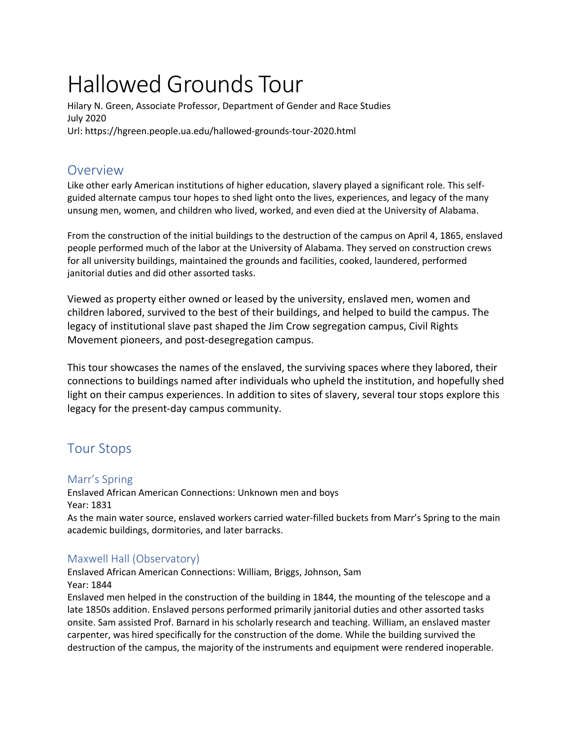# Hallowed Grounds Tour

Hilary N. Green, Associate Professor, Department of Gender and Race Studies July 2020 Url: https://hgreen.people.ua.edu/hallowed-grounds-tour-2020.html

# Overview

Like other early American institutions of higher education, slavery played a significant role. This selfguided alternate campus tour hopes to shed light onto the lives, experiences, and legacy of the many unsung men, women, and children who lived, worked, and even died at the University of Alabama.

From the construction of the initial buildings to the destruction of the campus on April 4, 1865, enslaved people performed much of the labor at the University of Alabama. They served on construction crews for all university buildings, maintained the grounds and facilities, cooked, laundered, performed janitorial duties and did other assorted tasks.

Viewed as property either owned or leased by the university, enslaved men, women and children labored, survived to the best of their buildings, and helped to build the campus. The legacy of institutional slave past shaped the Jim Crow segregation campus, Civil Rights Movement pioneers, and post-desegregation campus.

This tour showcases the names of the enslaved, the surviving spaces where they labored, their connections to buildings named after individuals who upheld the institution, and hopefully shed light on their campus experiences. In addition to sites of slavery, several tour stops explore this legacy for the present-day campus community.

# Tour Stops

## Marr's Spring

Enslaved African American Connections: Unknown men and boys Year: 1831

As the main water source, enslaved workers carried water-filled buckets from Marr's Spring to the main academic buildings, dormitories, and later barracks.

## Maxwell Hall (Observatory)

Enslaved African American Connections: William, Briggs, Johnson, Sam Year: 1844

Enslaved men helped in the construction of the building in 1844, the mounting of the telescope and a late 1850s addition. Enslaved persons performed primarily janitorial duties and other assorted tasks onsite. Sam assisted Prof. Barnard in his scholarly research and teaching. William, an enslaved master carpenter, was hired specifically for the construction of the dome. While the building survived the destruction of the campus, the majority of the instruments and equipment were rendered inoperable.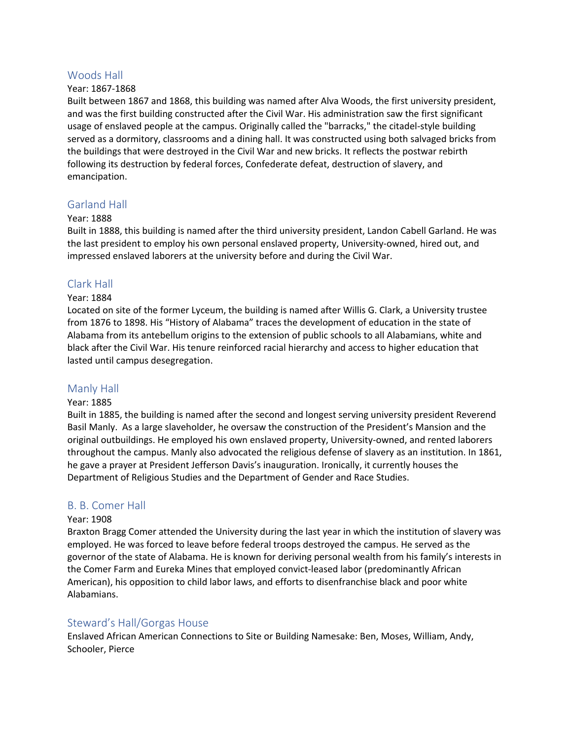#### Woods Hall

#### Year: 1867-1868

Built between 1867 and 1868, this building was named after Alva Woods, the first university president, and was the first building constructed after the Civil War. His administration saw the first significant usage of enslaved people at the campus. Originally called the "barracks," the citadel-style building served as a dormitory, classrooms and a dining hall. It was constructed using both salvaged bricks from the buildings that were destroyed in the Civil War and new bricks. It reflects the postwar rebirth following its destruction by federal forces, Confederate defeat, destruction of slavery, and emancipation.

#### Garland Hall

#### Year: 1888

Built in 1888, this building is named after the third university president, Landon Cabell Garland. He was the last president to employ his own personal enslaved property, University-owned, hired out, and impressed enslaved laborers at the university before and during the Civil War.

#### Clark Hall

#### Year: 1884

Located on site of the former Lyceum, the building is named after Willis G. Clark, a University trustee from 1876 to 1898. His "History of Alabama" traces the development of education in the state of Alabama from its antebellum origins to the extension of public schools to all Alabamians, white and black after the Civil War. His tenure reinforced racial hierarchy and access to higher education that lasted until campus desegregation.

#### Manly Hall

#### Year: 1885

Built in 1885, the building is named after the second and longest serving university president Reverend Basil Manly. As a large slaveholder, he oversaw the construction of the President's Mansion and the original outbuildings. He employed his own enslaved property, University-owned, and rented laborers throughout the campus. Manly also advocated the religious defense of slavery as an institution. In 1861, he gave a prayer at President Jefferson Davis's inauguration. Ironically, it currently houses the Department of Religious Studies and the Department of Gender and Race Studies.

#### B. B. Comer Hall

#### Year: 1908

Braxton Bragg Comer attended the University during the last year in which the institution of slavery was employed. He was forced to leave before federal troops destroyed the campus. He served as the governor of the state of Alabama. He is known for deriving personal wealth from his family's interests in the Comer Farm and Eureka Mines that employed convict-leased labor (predominantly African American), his opposition to child labor laws, and efforts to disenfranchise black and poor white Alabamians.

#### Steward's Hall/Gorgas House

Enslaved African American Connections to Site or Building Namesake: Ben, Moses, William, Andy, Schooler, Pierce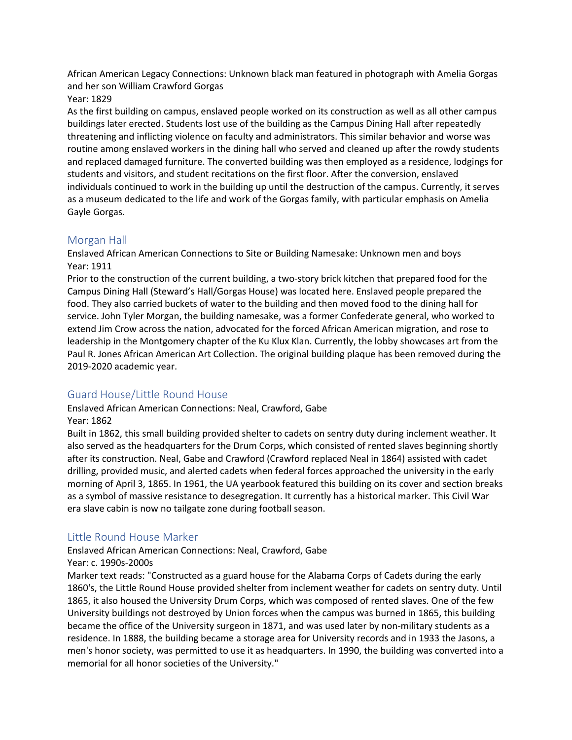African American Legacy Connections: Unknown black man featured in photograph with Amelia Gorgas and her son William Crawford Gorgas

Year: 1829

As the first building on campus, enslaved people worked on its construction as well as all other campus buildings later erected. Students lost use of the building as the Campus Dining Hall after repeatedly threatening and inflicting violence on faculty and administrators. This similar behavior and worse was routine among enslaved workers in the dining hall who served and cleaned up after the rowdy students and replaced damaged furniture. The converted building was then employed as a residence, lodgings for students and visitors, and student recitations on the first floor. After the conversion, enslaved individuals continued to work in the building up until the destruction of the campus. Currently, it serves as a museum dedicated to the life and work of the Gorgas family, with particular emphasis on Amelia Gayle Gorgas.

### Morgan Hall

Enslaved African American Connections to Site or Building Namesake: Unknown men and boys Year: 1911

Prior to the construction of the current building, a two-story brick kitchen that prepared food for the Campus Dining Hall (Steward's Hall/Gorgas House) was located here. Enslaved people prepared the food. They also carried buckets of water to the building and then moved food to the dining hall for service. John Tyler Morgan, the building namesake, was a former Confederate general, who worked to extend Jim Crow across the nation, advocated for the forced African American migration, and rose to leadership in the Montgomery chapter of the Ku Klux Klan. Currently, the lobby showcases art from the Paul R. Jones African American Art Collection. The original building plaque has been removed during the 2019-2020 academic year.

## Guard House/Little Round House

Enslaved African American Connections: Neal, Crawford, Gabe Year: 1862

Built in 1862, this small building provided shelter to cadets on sentry duty during inclement weather. It also served as the headquarters for the Drum Corps, which consisted of rented slaves beginning shortly after its construction. Neal, Gabe and Crawford (Crawford replaced Neal in 1864) assisted with cadet drilling, provided music, and alerted cadets when federal forces approached the university in the early morning of April 3, 1865. In 1961, the UA yearbook featured this building on its cover and section breaks as a symbol of massive resistance to desegregation. It currently has a historical marker. This Civil War era slave cabin is now no tailgate zone during football season.

## Little Round House Marker

Enslaved African American Connections: Neal, Crawford, Gabe

#### Year: c. 1990s-2000s

Marker text reads: "Constructed as a guard house for the Alabama Corps of Cadets during the early 1860's, the Little Round House provided shelter from inclement weather for cadets on sentry duty. Until 1865, it also housed the University Drum Corps, which was composed of rented slaves. One of the few University buildings not destroyed by Union forces when the campus was burned in 1865, this building became the office of the University surgeon in 1871, and was used later by non-military students as a residence. In 1888, the building became a storage area for University records and in 1933 the Jasons, a men's honor society, was permitted to use it as headquarters. In 1990, the building was converted into a memorial for all honor societies of the University."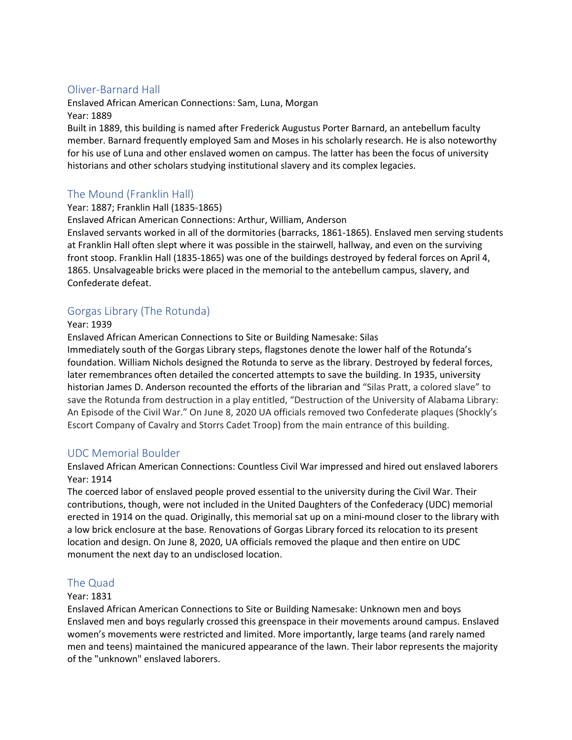## Oliver-Barnard Hall

Enslaved African American Connections: Sam, Luna, Morgan Year: 1889

Built in 1889, this building is named after Frederick Augustus Porter Barnard, an antebellum faculty member. Barnard frequently employed Sam and Moses in his scholarly research. He is also noteworthy for his use of Luna and other enslaved women on campus. The latter has been the focus of university historians and other scholars studying institutional slavery and its complex legacies.

## The Mound (Franklin Hall)

#### Year: 1887; Franklin Hall (1835-1865)

Enslaved African American Connections: Arthur, William, Anderson

Enslaved servants worked in all of the dormitories (barracks, 1861-1865). Enslaved men serving students at Franklin Hall often slept where it was possible in the stairwell, hallway, and even on the surviving front stoop. Franklin Hall (1835-1865) was one of the buildings destroyed by federal forces on April 4, 1865. Unsalvageable bricks were placed in the memorial to the antebellum campus, slavery, and Confederate defeat.

## Gorgas Library (The Rotunda)

#### Year: 1939

Enslaved African American Connections to Site or Building Namesake: Silas

Immediately south of the Gorgas Library steps, flagstones denote the lower half of the Rotunda's foundation. William Nichols designed the Rotunda to serve as the library. Destroyed by federal forces, later remembrances often detailed the concerted attempts to save the building. In 1935, university historian James D. Anderson recounted the efforts of the librarian and "Silas Pratt, a colored slave" to save the Rotunda from destruction in a play entitled, "Destruction of the University of Alabama Library: An Episode of the Civil War." On June 8, 2020 UA officials removed two Confederate plaques (Shockly's Escort Company of Cavalry and Storrs Cadet Troop) from the main entrance of this building.

## UDC Memorial Boulder

Enslaved African American Connections: Countless Civil War impressed and hired out enslaved laborers Year: 1914

The coerced labor of enslaved people proved essential to the university during the Civil War. Their contributions, though, were not included in the United Daughters of the Confederacy (UDC) memorial erected in 1914 on the quad. Originally, this memorial sat up on a mini-mound closer to the library with a low brick enclosure at the base. Renovations of Gorgas Library forced its relocation to its present location and design. On June 8, 2020, UA officials removed the plaque and then entire on UDC monument the next day to an undisclosed location.

## The Quad

#### Year: 1831

Enslaved African American Connections to Site or Building Namesake: Unknown men and boys Enslaved men and boys regularly crossed this greenspace in their movements around campus. Enslaved women's movements were restricted and limited. More importantly, large teams (and rarely named men and teens) maintained the manicured appearance of the lawn. Their labor represents the majority of the "unknown" enslaved laborers.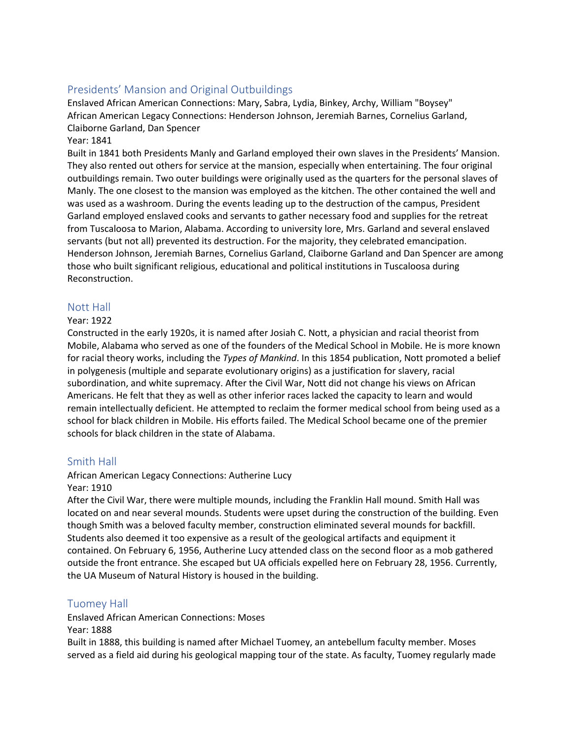## Presidents' Mansion and Original Outbuildings

Enslaved African American Connections: Mary, Sabra, Lydia, Binkey, Archy, William "Boysey" African American Legacy Connections: Henderson Johnson, Jeremiah Barnes, Cornelius Garland, Claiborne Garland, Dan Spencer

#### Year: 1841

Built in 1841 both Presidents Manly and Garland employed their own slaves in the Presidents' Mansion. They also rented out others for service at the mansion, especially when entertaining. The four original outbuildings remain. Two outer buildings were originally used as the quarters for the personal slaves of Manly. The one closest to the mansion was employed as the kitchen. The other contained the well and was used as a washroom. During the events leading up to the destruction of the campus, President Garland employed enslaved cooks and servants to gather necessary food and supplies for the retreat from Tuscaloosa to Marion, Alabama. According to university lore, Mrs. Garland and several enslaved servants (but not all) prevented its destruction. For the majority, they celebrated emancipation. Henderson Johnson, Jeremiah Barnes, Cornelius Garland, Claiborne Garland and Dan Spencer are among those who built significant religious, educational and political institutions in Tuscaloosa during Reconstruction.

#### Nott Hall

#### Year: 1922

Constructed in the early 1920s, it is named after Josiah C. Nott, a physician and racial theorist from Mobile, Alabama who served as one of the founders of the Medical School in Mobile. He is more known for racial theory works, including the *Types of Mankind*. In this 1854 publication, Nott promoted a belief in polygenesis (multiple and separate evolutionary origins) as a justification for slavery, racial subordination, and white supremacy. After the Civil War, Nott did not change his views on African Americans. He felt that they as well as other inferior races lacked the capacity to learn and would remain intellectually deficient. He attempted to reclaim the former medical school from being used as a school for black children in Mobile. His efforts failed. The Medical School became one of the premier schools for black children in the state of Alabama.

#### Smith Hall

#### African American Legacy Connections: Autherine Lucy

#### Year: 1910

After the Civil War, there were multiple mounds, including the Franklin Hall mound. Smith Hall was located on and near several mounds. Students were upset during the construction of the building. Even though Smith was a beloved faculty member, construction eliminated several mounds for backfill. Students also deemed it too expensive as a result of the geological artifacts and equipment it contained. On February 6, 1956, Autherine Lucy attended class on the second floor as a mob gathered outside the front entrance. She escaped but UA officials expelled here on February 28, 1956. Currently, the UA Museum of Natural History is housed in the building.

#### Tuomey Hall

Enslaved African American Connections: Moses

Year: 1888

Built in 1888, this building is named after Michael Tuomey, an antebellum faculty member. Moses served as a field aid during his geological mapping tour of the state. As faculty, Tuomey regularly made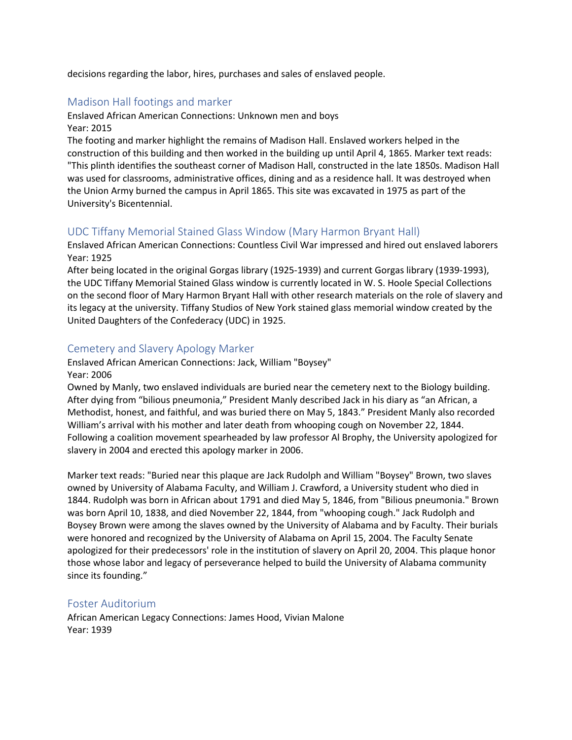decisions regarding the labor, hires, purchases and sales of enslaved people.

## Madison Hall footings and marker

Enslaved African American Connections: Unknown men and boys Year: 2015

The footing and marker highlight the remains of Madison Hall. Enslaved workers helped in the construction of this building and then worked in the building up until April 4, 1865. Marker text reads: "This plinth identifies the southeast corner of Madison Hall, constructed in the late 1850s. Madison Hall was used for classrooms, administrative offices, dining and as a residence hall. It was destroyed when the Union Army burned the campus in April 1865. This site was excavated in 1975 as part of the University's Bicentennial.

#### UDC Tiffany Memorial Stained Glass Window (Mary Harmon Bryant Hall)

Enslaved African American Connections: Countless Civil War impressed and hired out enslaved laborers Year: 1925

After being located in the original Gorgas library (1925-1939) and current Gorgas library (1939-1993), the UDC Tiffany Memorial Stained Glass window is currently located in W. S. Hoole Special Collections on the second floor of Mary Harmon Bryant Hall with other research materials on the role of slavery and its legacy at the university. Tiffany Studios of New York stained glass memorial window created by the United Daughters of the Confederacy (UDC) in 1925.

#### Cemetery and Slavery Apology Marker

Enslaved African American Connections: Jack, William "Boysey" Year: 2006

Owned by Manly, two enslaved individuals are buried near the cemetery next to the Biology building. After dying from "bilious pneumonia," President Manly described Jack in his diary as "an African, a Methodist, honest, and faithful, and was buried there on May 5, 1843." President Manly also recorded William's arrival with his mother and later death from whooping cough on November 22, 1844. Following a coalition movement spearheaded by law professor Al Brophy, the University apologized for slavery in 2004 and erected this apology marker in 2006.

Marker text reads: "Buried near this plaque are Jack Rudolph and William "Boysey" Brown, two slaves owned by University of Alabama Faculty, and William J. Crawford, a University student who died in 1844. Rudolph was born in African about 1791 and died May 5, 1846, from "Bilious pneumonia." Brown was born April 10, 1838, and died November 22, 1844, from "whooping cough." Jack Rudolph and Boysey Brown were among the slaves owned by the University of Alabama and by Faculty. Their burials were honored and recognized by the University of Alabama on April 15, 2004. The Faculty Senate apologized for their predecessors' role in the institution of slavery on April 20, 2004. This plaque honor those whose labor and legacy of perseverance helped to build the University of Alabama community since its founding."

#### Foster Auditorium

African American Legacy Connections: James Hood, Vivian Malone Year: 1939